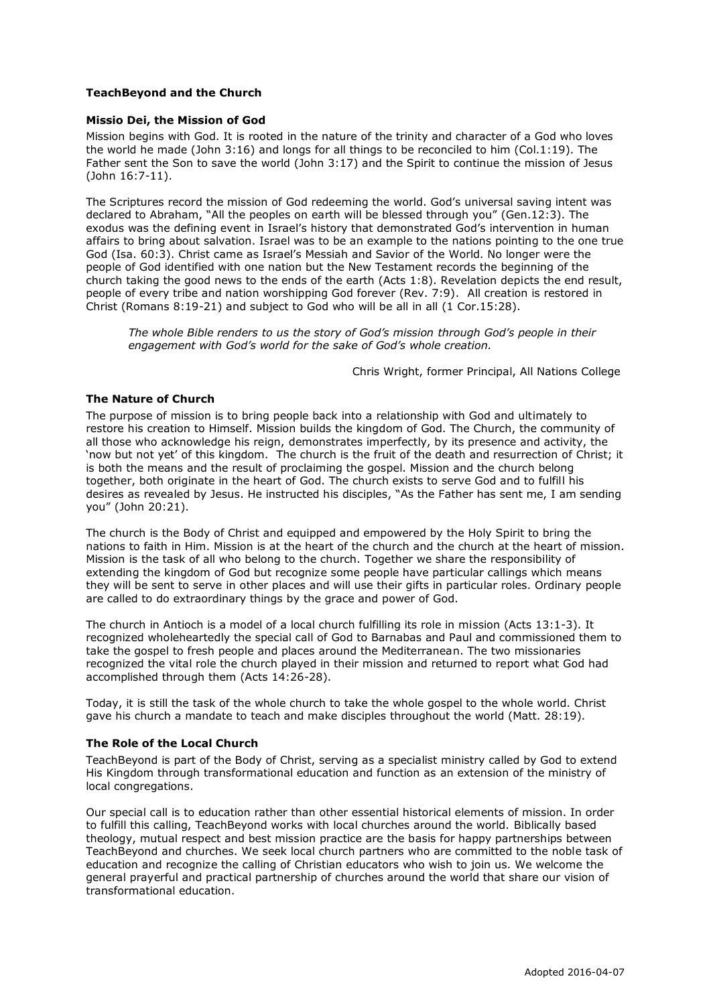# **TeachBeyond and the Church**

## **Missio Dei, the Mission of God**

Mission begins with God. It is rooted in the nature of the trinity and character of a God who loves the world he made (John 3:16) and longs for all things to be reconciled to him (Col.1:19). The Father sent the Son to save the world (John 3:17) and the Spirit to continue the mission of Jesus (John 16:7-11).

The Scriptures record the mission of God redeeming the world. God's universal saving intent was declared to Abraham, "All the peoples on earth will be blessed through you" (Gen.12:3). The exodus was the defining event in Israel's history that demonstrated God's intervention in human affairs to bring about salvation. Israel was to be an example to the nations pointing to the one true God (Isa. 60:3). Christ came as Israel's Messiah and Savior of the World. No longer were the people of God identified with one nation but the New Testament records the beginning of the church taking the good news to the ends of the earth (Acts 1:8). Revelation depicts the end result, people of every tribe and nation worshipping God forever (Rev. 7:9). All creation is restored in Christ (Romans 8:19-21) and subject to God who will be all in all (1 Cor.15:28).

*The whole Bible renders to us the story of God's mission through God's people in their engagement with God's world for the sake of God's whole creation.*

Chris Wright, former Principal, All Nations College

## **The Nature of Church**

The purpose of mission is to bring people back into a relationship with God and ultimately to restore his creation to Himself. Mission builds the kingdom of God. The Church, the community of all those who acknowledge his reign, demonstrates imperfectly, by its presence and activity, the 'now but not yet' of this kingdom. The church is the fruit of the death and resurrection of Christ; it is both the means and the result of proclaiming the gospel. Mission and the church belong together, both originate in the heart of God. The church exists to serve God and to fulfill his desires as revealed by Jesus. He instructed his disciples, "As the Father has sent me, I am sending you" (John 20:21).

The church is the Body of Christ and equipped and empowered by the Holy Spirit to bring the nations to faith in Him. Mission is at the heart of the church and the church at the heart of mission. Mission is the task of all who belong to the church. Together we share the responsibility of extending the kingdom of God but recognize some people have particular callings which means they will be sent to serve in other places and will use their gifts in particular roles. Ordinary people are called to do extraordinary things by the grace and power of God.

The church in Antioch is a model of a local church fulfilling its role in mission (Acts 13:1-3). It recognized wholeheartedly the special call of God to Barnabas and Paul and commissioned them to take the gospel to fresh people and places around the Mediterranean. The two missionaries recognized the vital role the church played in their mission and returned to report what God had accomplished through them (Acts 14:26-28).

Today, it is still the task of the whole church to take the whole gospel to the whole world. Christ gave his church a mandate to teach and make disciples throughout the world (Matt. 28:19).

#### **The Role of the Local Church**

TeachBeyond is part of the Body of Christ, serving as a specialist ministry called by God to extend His Kingdom through transformational education and function as an extension of the ministry of local congregations.

Our special call is to education rather than other essential historical elements of mission. In order to fulfill this calling, TeachBeyond works with local churches around the world. Biblically based theology, mutual respect and best mission practice are the basis for happy partnerships between TeachBeyond and churches. We seek local church partners who are committed to the noble task of education and recognize the calling of Christian educators who wish to join us. We welcome the general prayerful and practical partnership of churches around the world that share our vision of transformational education.